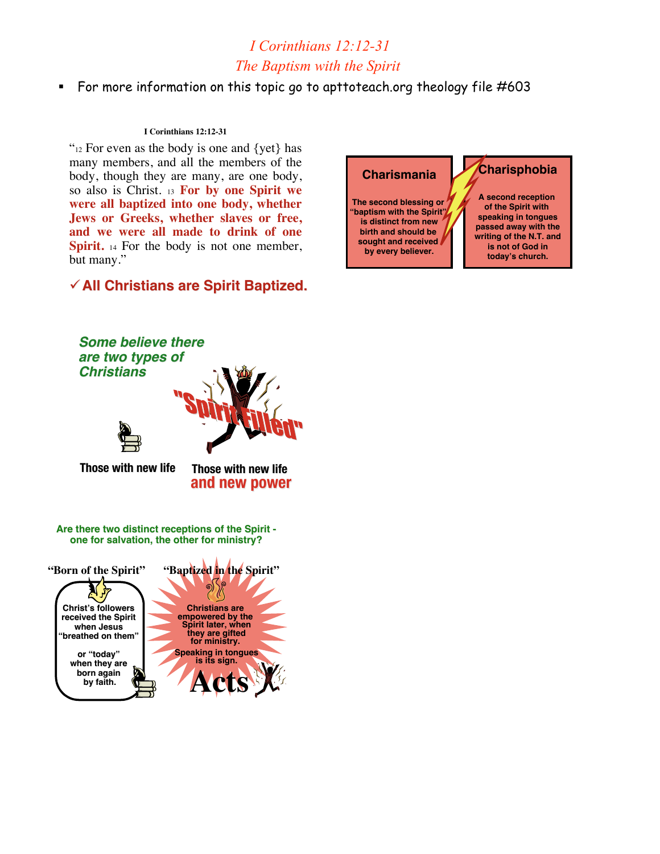# *I Corinthians 12:12-31 The Baptism with the Spirit*

For more information on this topic go to apttoteach.org theology file #603

## **I Corinthians 12:12-31**

"<sup>12</sup> For even as the body is one and {yet} has many members, and all the members of the body, though they are many, are one body, so also is Christ. <sup>13</sup> **For by one Spirit we were all baptized into one body, whether Jews or Greeks, whether slaves or free, and we were all made to drink of one Spirit.** 14 For the body is not one member, but many."

# **All Christians are Spirit Baptized. All Christians are Spirit Baptized.**

*Some believe there*

# **Charismania**

**The second blessing or "baptism with the Spirit" is distinct from new birth and should be sought and received by every believer.**

# **Charisphobia**

**A second reception of the Spirit with speaking in tongues passed away with the writing of the N.T. and is not of God in today's church.**

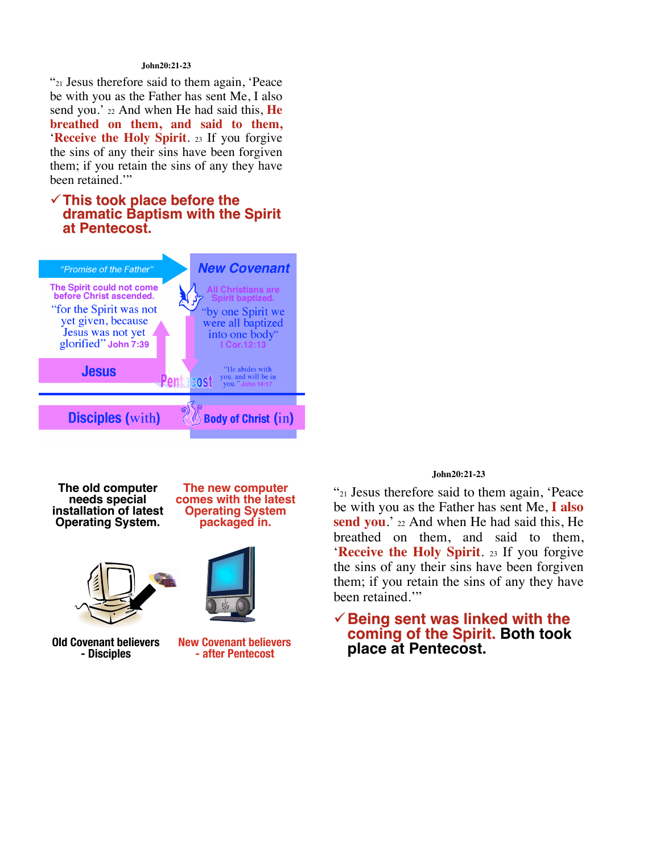### **John20:21-23**

"21 Jesus therefore said to them again, 'Peace be with you as the Father has sent Me, I also send you.' 22 And when He had said this, **He breathed on them, and said to them,** '**Receive the Holy Spirit**. <sup>23</sup> If you forgive the sins of any their sins have been forgiven them; if you retain the sins of any they have been retained.'"

# **This took place before the dramatic Baptism with the Spirit at Pentecost. at Pentecost.**



**The old computer<br>
needs special installation of latest Operating System. Operating System.**





**Old Covenant believers - Disciples**

**New Covenant believers - after Pentecost**

### **John20:21-23**

"21 Jesus therefore said to them again, 'Peace be with you as the Father has sent Me, **I also** send you.' 22 And when He had said this, He breathed on them, and said to them, '**Receive the Holy Spirit**. <sup>23</sup> If you forgive the sins of any their sins have been forgiven them; if you retain the sins of any they have been retained."

```
Being sent was linked with the Being sent was linked with the
  coming of the Spirit. Both took
  place at Pentecost.
```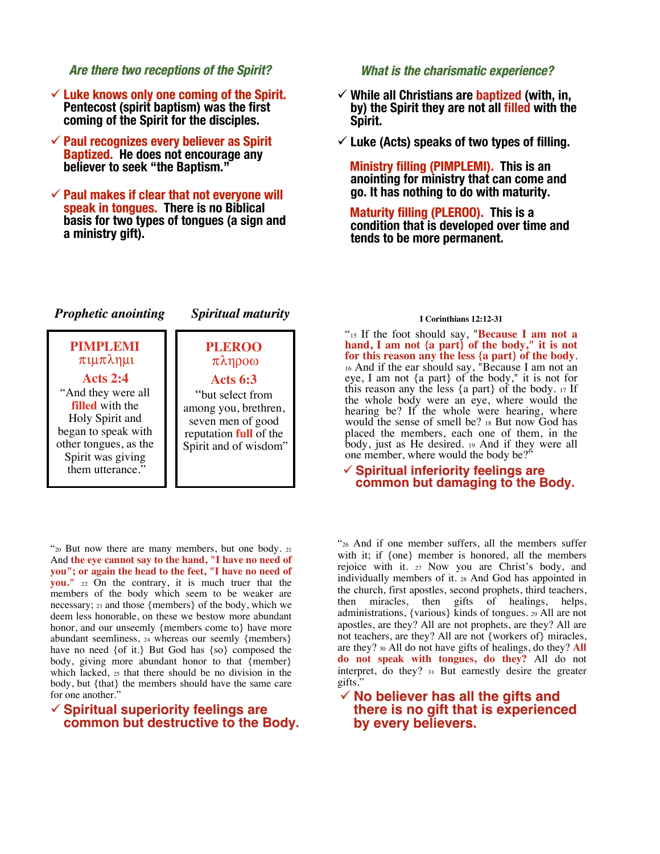## **Are there two receptions of the Spirit? Are there two receptions of the Spirit?**

- **Luke knows only one coming of the Spirit. Luke knows only one coming of the Spirit. Pentecost (spirit baptism) was the first coming of the Spirit for the disciples.**
- **Paul recognizes every believer as Spirit Paul recognizes every believer as Spirit Baptized. Baptized. He does not encourage any believer to seek "the Baptism."**
- $\checkmark$  Paul makes if clear that not everyone will **speak in tongues. There is no Biblical basis for two types of tongues (a sign and a ministry gift).**

## **What is the charismatic experience? What is the charismatic experience?**

- **While all Christians are baptized (with, in, by) the Spirit they are not all filled with the Spirit.**
- **Luke (Acts) speaks of two types of filling.**

**Ministry filling (PIMPLEMI). This is an anointing for ministry that can come and go. It has nothing to do with maturity.**

**Maturity filling (PLEROO). This is a condition that is developed over time and tends to be more permanent.**

# *Prophetic anointing Prophetic anointing Spiritual maturity Spiritual maturity*

**PLEROO**   $\pi\lambda\eta\rho\sigma\omega$ 

## **PIMPLEMI**  $\pi$ *uu* $\pi$  $\lambda$ nu

**Acts 2:4** "And they were all **filled** with the Holy Spirit and began to speak with other tongues, as the Spirit was giving them utterance."

# **Acts 6:3** "but select from among you, brethren, seven men of good reputation **full** of the Spirit and of wisdom"

"20 But now there are many members, but one body. <sup>21</sup> And **the eye cannot say to the hand, "I have no need of you"; or again the head to the feet, "I have no need of you."** <sup>22</sup> On the contrary, it is much truer that the members of the body which seem to be weaker are necessary; 23 and those {members} of the body, which we deem less honorable, on these we bestow more abundant honor, and our unseemly {members come to} have more abundant seemliness, <sup>24</sup> whereas our seemly {members} have no need {of it.} But God has {so} composed the body, giving more abundant honor to that {member} which lacked, <sup>25</sup> that there should be no division in the body, but {that} the members should have the same care for one another."

## **Spiritual superiority feelings are Spiritual superiority feelings are common but destructive to the Body. common but destructive to the Body.**

### **I Corinthians 12:12-31**

"15 If the foot should say, "**Because I am not a hand, I am not {a part} of the body," it is not for this reason any the less {a part} of the body**. <sup>16</sup> And if the ear should say, "Because I am not an eye, I am not {a part} of the body," it is not for this reason any the less {a part} of the body. <sup>17</sup> If the whole body were an eye, where would the hearing be? If the whole were hearing, where would the sense of smell be? <sup>18</sup> But now God has placed the members, each one of them, in the body, just as He desired. <sup>19</sup> And if they were all one member, where would the body be?

### **Spiritual inferiority feelings are common but damaging to the Body.**

"26 And if one member suffers, all the members suffer with it; if  ${one}$  member is honored, all the members rejoice with it. <sup>27</sup> Now you are Christ's body, and individually members of it. <sup>28</sup> And God has appointed in the church, first apostles, second prophets, third teachers, then miracles, then gifts of healings, helps, administrations, {various} kinds of tongues. 29 All are not apostles, are they? All are not prophets, are they? All are not teachers, are they? All are not {workers of} miracles, are they? 30 All do not have gifts of healings, do they? **All do not speak with tongues, do they?** All do not interpret, do they? <sup>31</sup> But earnestly desire the greater gifts."

## **No believer has all the gifts and there is no gift that is experienced by every believers. by every believers.**